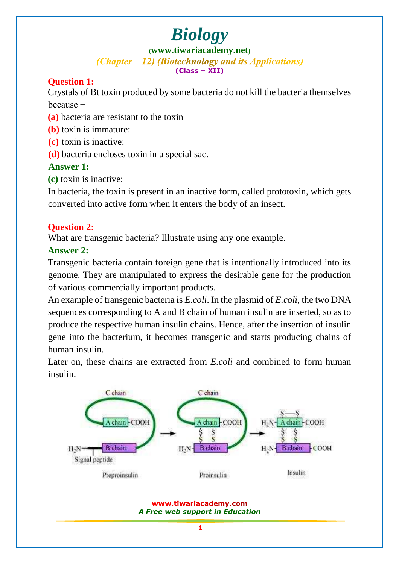**([www.tiwariacademy.net](http://www.tiwariacademy.net/))**

(Chapter – 12) (Biotechnology and its Applications)

## **(Class – XII)**

# **Question 1:**

Crystals of Bt toxin produced by some bacteria do not kill the bacteria themselves because −

- **(a)** bacteria are resistant to the toxin
- **(b)** toxin is immature:
- **(c)** toxin is inactive:
- **(d)** bacteria encloses toxin in a special sac.

# **Answer 1:**

**(c)** toxin is inactive:

In bacteria, the toxin is present in an inactive form, called prototoxin, which gets converted into active form when it enters the body of an insect.

# **Question 2:**

What are transgenic bacteria? Illustrate using any one example.

# **Answer 2:**

Transgenic bacteria contain foreign gene that is intentionally introduced into its genome. They are manipulated to express the desirable gene for the production of various commercially important products.

An example of transgenic bacteria is *E.coli*. In the plasmid of *E.coli*, the two DNA sequences corres[ponding to A and B chain of human insulin are inserted, so](www.tiwariacademy.com) as to produce the respective human insulin chains. Hence, after the insertion of insulin gene into the bacterium, it becomes transgenic and starts producing chains of human insulin.

Later on, these chains are extracted from *E.coli* and combined to form human insulin.



### *A Free web support in Education*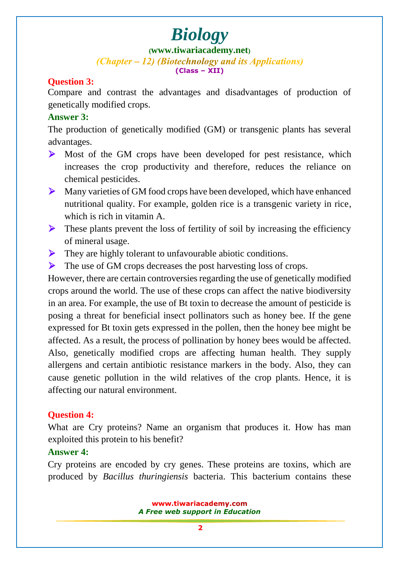**([www.tiwariacademy.net](http://www.tiwariacademy.net/))** (Chapter – 12) (Biotechnology and its Applications)

# **(Class – XII)**

# **Question 3:**

Compare and contrast the advantages and disadvantages of production of genetically modified crops.

# **Answer 3:**

The production of genetically modified (GM) or transgenic plants has several advantages.

- Most of the GM crops have been developed for pest resistance, which increases the crop productivity and therefore, reduces the reliance on chemical pesticides.
- Many varieties of GM food crops have been developed, which have enhanced nutritional quality. For example, golden rice is a transgenic variety in rice, which is rich in vitamin A.
- $\triangleright$  These plants prevent the loss of fertility of soil by increasing the efficiency of mineral usage.
- They are highly tolerant to unfavourable abiotic conditions.
- $\triangleright$  The use of GM crops decreases the post harvesting loss of crops.

However, there are certain controversies regarding the use of genetically modified crops around the world. The use of these crops can affect the native biodiversity in an area. For example[, the use of Bt toxin to decrease the amoun](www.tiwariacademy.com)t of pesticide is posing a threat for beneficial insect pollinators such as honey bee. If the gene expressed for Bt toxin gets expressed in the pollen, then the honey bee might be affected. As a result, the process of pollination by honey bees would be affected. Also, genetically modified crops are affecting human health. They supply allergens and certain antibiotic resistance markers in the body. Also, they can cause genetic pollution in the wild relatives of the crop plants. Hence, it is affecting our natural environment.

# **Question 4:**

What are Cry proteins? Name an organism that produces it. How has man exploited this protein to his benefit?

# **Answer 4:**

Cry proteins are encoded by cry genes. These proteins are toxins, which are produced by *Bacillus thuringiensis* bacteria. This bacterium contains these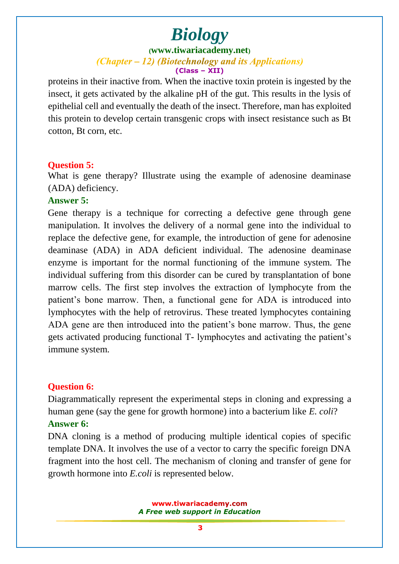### **([www.tiwariacademy.net](http://www.tiwariacademy.net/))** (Chapter – 12) (Biotechnology and its Applications) **(Class – XII)**

proteins in their inactive from. When the inactive toxin protein is ingested by the insect, it gets activated by the alkaline pH of the gut. This results in the lysis of epithelial cell and eventually the death of the insect. Therefore, man has exploited this protein to develop certain transgenic crops with insect resistance such as Bt cotton, Bt corn, etc.

# **Question 5:**

What is gene therapy? Illustrate using the example of adenosine deaminase (ADA) deficiency.

# **Answer 5:**

Gene therapy is a technique for correcting a defective gene through gene manipulation. It involves the delivery of a normal gene into the individual to replace the defective gene, for example, the introduction of gene for adenosine deaminase (A[DA\) in ADA deficient individual. The adenosine](www.tiwariacademy.com) deaminase enzyme is important for the normal functioning of the immune system. The individual suffering from this disorder can be cured by transplantation of bone marrow cells. The first step involves the extraction of lymphocyte from the patient's bone marrow. Then, a functional gene for ADA is introduced into lymphocytes with the help of retrovirus. These treated lymphocytes containing ADA gene are then introduced into the patient's bone marrow. Thus, the gene gets activated producing functional T- lymphocytes and activating the patient's immune system.

# **Question 6:**

Diagrammatically represent the experimental steps in cloning and expressing a human gene (say the gene for growth hormone) into a bacterium like *E. coli*? **Answer 6:**

DNA cloning is a method of producing multiple identical copies of specific template DNA. It involves the use of a vector to carry the specific foreign DNA fragment into the host cell. The mechanism of cloning and transfer of gene for growth hormone into *E.coli* is represented below.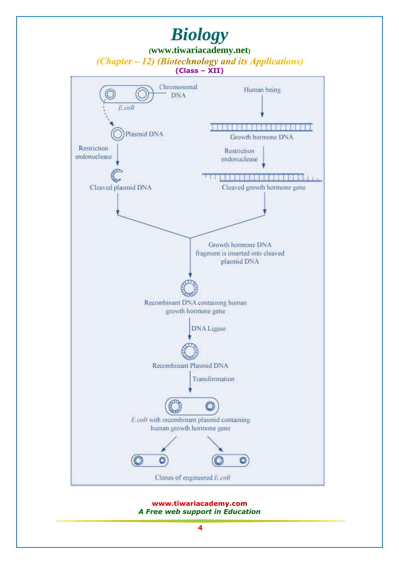**([www.tiwariacademy.net](http://www.tiwariacademy.net/))**

(Chapter – 12) (Biotechnology and its Applications)

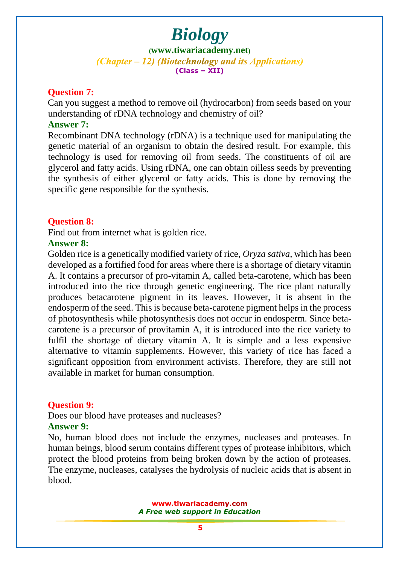# *Biology* **([www.tiwariacademy.net](http://www.tiwariacademy.net/))** (Chapter – 12) (Biotechnology and its Applications) **(Class – XII)**

### **Question 7:**

Can you suggest a method to remove oil (hydrocarbon) from seeds based on your understanding of rDNA technology and chemistry of oil?

### **Answer 7:**

Recombinant DNA technology (rDNA) is a technique used for manipulating the genetic material of an organism to obtain the desired result. For example, this technology is used for removing oil from seeds. The constituents of oil are glycerol and fatty acids. Using rDNA, one can obtain oilless seeds by preventing the synthesis of either glycerol or fatty acids. This is done by removing the specific gene responsible for the synthesis.

# **Question 8:**

Find out from internet what is golden rice.

# **Answer 8:**

Golden rice is a genetically modified variety of rice, *Oryza sativa*, which has been developed as a fortified food for areas where there is a shortage of dietary vitamin A. It contains a precursor of pro-vitamin A, called beta-carotene, which has been introduced [into the rice through genetic engineering. The rice pla](www.tiwariacademy.com)nt naturally produces betacarotene pigment in its leaves. However, it is absent in the endosperm of the seed. This is because beta-carotene pigment helps in the process of photosynthesis while photosynthesis does not occur in endosperm. Since betacarotene is a precursor of provitamin A, it is introduced into the rice variety to fulfil the shortage of dietary vitamin A. It is simple and a less expensive alternative to vitamin supplements. However, this variety of rice has faced a significant opposition from environment activists. Therefore, they are still not available in market for human consumption.

### **Question 9:**

Does our blood have proteases and nucleases?

### **Answer 9:**

No, human blood does not include the enzymes, nucleases and proteases. In human beings, blood serum contains different types of protease inhibitors, which protect the blood proteins from being broken down by the action of proteases. The enzyme, nucleases, catalyses the hydrolysis of nucleic acids that is absent in blood.